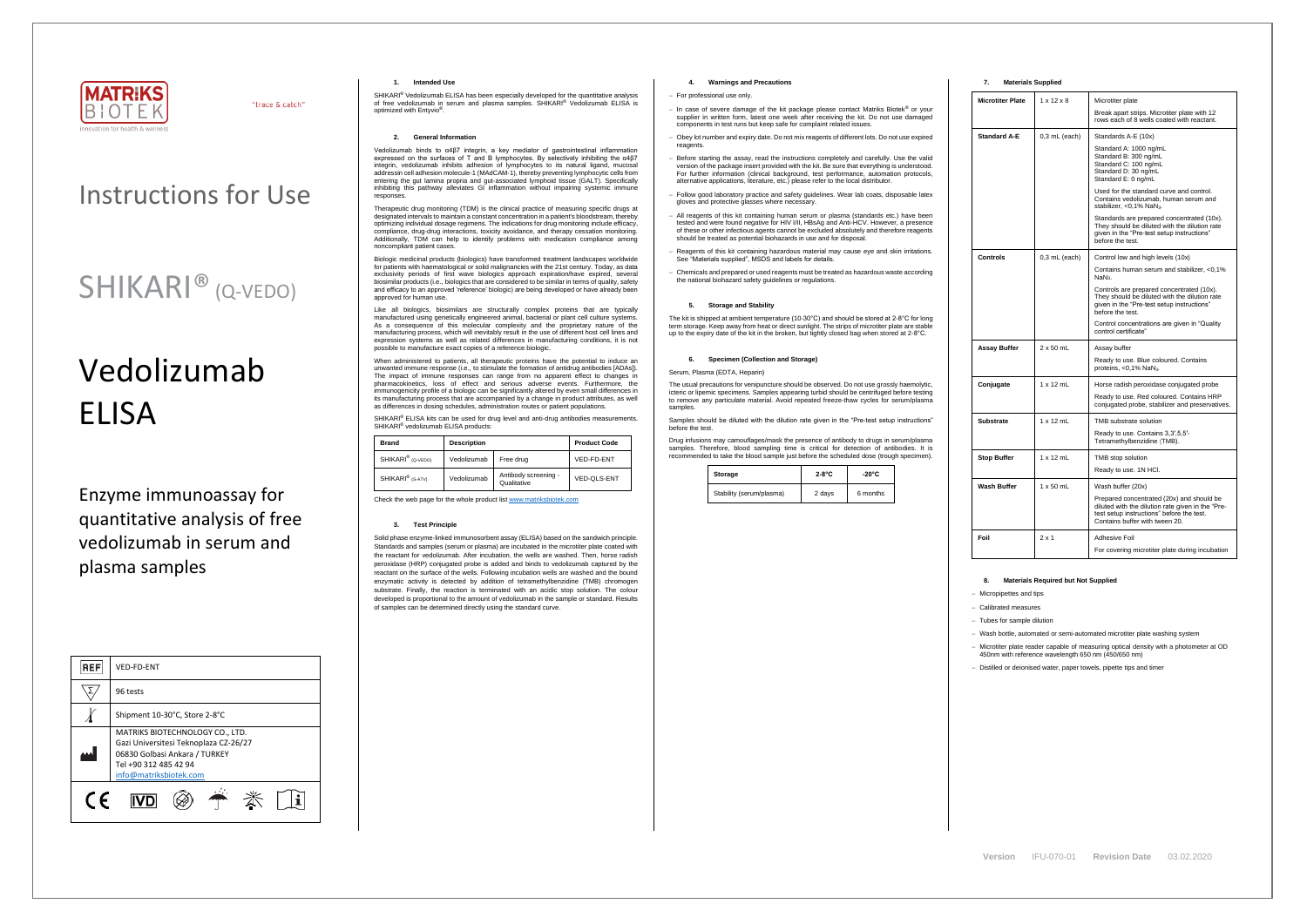

"trace & catch"

# Vedolizumab **FLISA**

### Instructions for Use

## SHIKARI® (Q-VEDO)

Enzyme immunoassay for quantitative analysis of free vedolizumab in serum and plasma samples

| <b>REF</b> | VED-FD-ENT                                                                                                                                                   |  |  |
|------------|--------------------------------------------------------------------------------------------------------------------------------------------------------------|--|--|
|            | 96 tests                                                                                                                                                     |  |  |
|            | Shipment 10-30°C, Store 2-8°C                                                                                                                                |  |  |
|            | MATRIKS BIOTECHNOLOGY CO., LTD.<br>Gazi Universitesi Teknoplaza CZ-26/27<br>06830 Golbasi Ankara / TURKEY<br>Tel +90 312 485 42 94<br>info@matriksbiotek.com |  |  |
| $\epsilon$ |                                                                                                                                                              |  |  |

#### **1. Intended Use**

SHIKARI<sup>®</sup> Vedolizumab ELISA has been especially developed for the quantitative analysis of free vedolizumab in serum and plasma samples. SHIKARI® Vedolizumab ELISA is optimized with Entyvio<sup>®</sup>.

Vedolizumab binds to α4β7 integrin, a key mediator of gastrointestinal inflammatio expressed on the surfaces of T and B lymphocytes. By selectively inhibiting the α4β7 integrin, vedolizumab inhibits adhesion of lymphocytes to its natural ligand, mucosal addressin cell adhesion molecule-1 (MAdCAM-1), thereby preventing lymphocytic cells from entering the gut lamina propria and gut-associated lymphoid tissue (GALT). Specifically inhibiting this pathway alleviates GI inflammation without impairing systemic immune responses.

#### **2. General Information**

Therapeutic drug monitoring (TDM) is the clinical practice of measuring specific drugs at designated intervals to maintain a constant concentration in a patient's bloodstream, thereby optimizing individual dosage regimens. The indications for drug monitoring include efficacy, compliance, drug-drug interactions, toxicity avoidance, and therapy cessation monitoring. Additionally, TDM can help to identify problems with medication compliance among noncompliant patient cases.

Biologic medicinal products (biologics) have transformed treatment landscapes worldwide for patients with haematological or solid malignancies with the 21st century. Today, as data exclusivity periods of first wave biologics approach expiration/have expired, several biosimilar products (i.e., biologics that are considered to be similar in terms of quality, safety and efficacy to an approved 'reference' biologic) are being developed or have already been approved for human use.

Like all biologics, biosimilars are structurally complex proteins that are typically manufactured using genetically engineered animal, bacterial or plant cell culture systems. As a consequence of this molecular complexity and the proprietary nature of the manufacturing process, which will inevitably result in the use of different host cell lines and expression systems as well as related differences in manufacturing conditions, it is not possible to manufacture exact copies of a reference biologic.

When administered to patients, all therapeutic proteins have the potential to induce an unwanted immune response (i.e., to stimulate the formation of antidrug antibodies [ADAs]). The impact of immune responses can range from no apparent effect to changes in pharmacokinetics, loss of effect and serious adverse events. Furthermore, the immunogenicity profile of a biologic can be significantly altered by even small differences in its manufacturing process that are accompanied by a change in product attributes, as well as differences in dosing schedules, administration routes or patient populations.

SHIKARI<sup>®</sup> ELISA kits can be used for drug level and anti-drug antibodies measurements SHIKARI<sup>®</sup> vedolizumab ELISA products:

The usual precautions for venipuncture should be observed. Do not use grossly haemolytic, icteric or lipemic specimens. Samples appearing turbid should be centrifuged before testing to remove any particulate material. Avoid repeated freeze-thaw cycles for serum/plasma samples

| <b>Brand</b><br><b>Description</b> |             |                                     | <b>Product Code</b> |
|------------------------------------|-------------|-------------------------------------|---------------------|
| SHIKARI <sup>®</sup> (Q-VEDO)      | Vedolizumab | Free drug                           | VED-FD-ENT          |
| SHIKARI <sup>®</sup> (S-ATV)       | Vedolizumab | Antibody screening -<br>Qualitative | VED-OLS-ENT         |

Check the web page for the whole product lis[t www.matriksbiotek.com](http://www.matriksbiotek.com/)

#### **3. Test Principle**

Solid phase enzyme-linked immunosorbent assay (ELISA) based on the sandwich principle. Standards and samples (serum or plasma) are incubated in the microtiter plate coated with the reactant for vedolizumab. After incubation, the wells are washed. Then, horse radish peroxidase (HRP) conjugated probe is added and binds to vedolizumab captured by the reactant on the surface of the wells. Following incubation wells are washed and the bound enzymatic activity is detected by addition of tetramethylbenzidine (TMB) chromogen substrate. Finally, the reaction is terminated with an acidic stop solution. The colour developed is proportional to the amount of vedolizumab in the sample or standard. Results of samples can be determined directly using the standard curve.

### **4. Warnings and Precautions**

- − For professional use only.
- − In case of severe damage of the kit package please contact Matriks Biotek® or your supplier in written form, latest one week after receiving the kit. Do not use damaged components in test runs but keep safe for complaint related issues.
- − Obey lot number and expiry date. Do not mix reagents of different lots. Do not use expired reagents
- − Before starting the assay, read the instructions completely and carefully. Use the valid version of the package insert provided with the kit. Be sure that everything is understood. For further information (clinical background, test performance, automation protocols, alternative applications, literature, etc.) please refer to the local distributor.
- Follow good laboratory practice and safety guidelines. Wear lab coats, disposable latex gloves and protective glasses where necessary.
- − All reagents of this kit containing human serum or plasma (standards etc.) have been tested and were found negative for HIV I/II, HBsAg and Anti-HCV. However, a presence of these or other infectious agents cannot be excluded absolutely and therefore reagents should be treated as potential biohazards in use and for disposal.
- − Reagents of this kit containing hazardous material may cause eye and skin irritations. See "Materials supplied", MSDS and labels for details.
- − Chemicals and prepared or used reagents must be treated as hazardous waste according the national biohazard safety guidelines or regulations.

#### **5. Storage and Stability**

The kit is shipped at ambient temperature (10-30°C) and should be stored at 2-8°C for long term storage. Keep away from heat or direct sunlight. The strips of microtiter plate are stable up to the expiry date of the kit in the broken, but tightly closed bag when stored at 2-8°C.

#### **6. Specimen (Collection and Storage)**

#### Serum, Plasma (EDTA, Heparin)

Samples should be diluted with the dilution rate given in the "Pre-test setup instructions" before the test.

Drug infusions may camouflages/mask the presence of antibody to drugs in serum/plasma samples. Therefore, blood sampling time is critical for detection of antibodies. It is recommended to take the blood sample just before the scheduled dose (trough specimen).

| Storage                  | $2-8$ °C | -20°C    |
|--------------------------|----------|----------|
| Stability (serum/plasma) | 2 days   | 6 months |

#### **7. Materials Supplied**

| <b>Microtiter Plate</b>                | $1 \times 12 \times 8$ | Microtiter plate                                                                                                                                                              |  |
|----------------------------------------|------------------------|-------------------------------------------------------------------------------------------------------------------------------------------------------------------------------|--|
|                                        |                        | Break apart strips. Microtiter plate with 12<br>rows each of 8 wells coated with reactant.                                                                                    |  |
| <b>Standard A-E</b><br>$0,3$ mL (each) |                        | Standards A-E (10x)                                                                                                                                                           |  |
|                                        |                        | Standard A: 1000 ng/mL<br>Standard B: 300 ng/mL<br>Standard C: 100 ng/mL<br>Standard D: 30 ng/mL<br>Standard E: 0 ng/mL                                                       |  |
|                                        |                        | Used for the standard curve and control.<br>Contains vedolizumab, human serum and<br>stabilizer, < $0.1\%$ NaN <sub>3</sub> .                                                 |  |
|                                        |                        | Standards are prepared concentrated (10x).<br>They should be diluted with the dilution rate<br>given in the "Pre-test setup instructions"<br>before the test.                 |  |
| Controls                               | $0.3$ mL (each)        | Control low and high levels (10x)                                                                                                                                             |  |
|                                        |                        | Contains human serum and stabilizer, <0,1%<br>NaN <sub>3</sub> .                                                                                                              |  |
|                                        |                        | Controls are prepared concentrated (10x).<br>They should be diluted with the dilution rate<br>given in the "Pre-test setup instructions"<br>before the test.                  |  |
|                                        |                        | Control concentrations are given in "Quality"<br>control certificate"                                                                                                         |  |
| Assay Buffer                           | $2 \times 50$ mL       | Assay buffer                                                                                                                                                                  |  |
|                                        |                        | Ready to use. Blue coloured. Contains<br>proteins, <0,1% NaN <sub>3</sub> .                                                                                                   |  |
| Conjugate                              | $1 \times 12$ mL       | Horse radish peroxidase conjugated probe                                                                                                                                      |  |
|                                        |                        | Ready to use. Red coloured. Contains HRP<br>conjugated probe, stabilizer and preservatives.                                                                                   |  |
| Substrate                              | $1 \times 12$ mL       | TMB substrate solution                                                                                                                                                        |  |
|                                        |                        | Ready to use. Contains 3,3',5,5'-<br>Tetramethylbenzidine (TMB).                                                                                                              |  |
| <b>Stop Buffer</b>                     | $1 \times 12$ mL       | TMB stop solution                                                                                                                                                             |  |
|                                        |                        | Ready to use. 1N HCl.                                                                                                                                                         |  |
| Wash Buffer                            | $1 \times 50$ mL       | Wash buffer (20x)                                                                                                                                                             |  |
|                                        |                        | Prepared concentrated (20x) and should be<br>diluted with the dilution rate given in the "Pre-<br>test setup instructions" before the test.<br>Contains buffer with tween 20. |  |
| Foil                                   | $2 \times 1$           | Adhesive Foil                                                                                                                                                                 |  |
|                                        |                        | For covering microtiter plate during incubation                                                                                                                               |  |

#### **8. Materials Required but Not Supplied**

− Micropipettes and tips

− Calibrated measures

− Tubes for sample dilution

− Wash bottle, automated or semi-automated microtiter plate washing system

− Microtiter plate reader capable of measuring optical density with a photometer at OD 450nm with reference wavelength 650 nm (450/650 nm)

− Distilled or deionised water, paper towels, pipette tips and timer